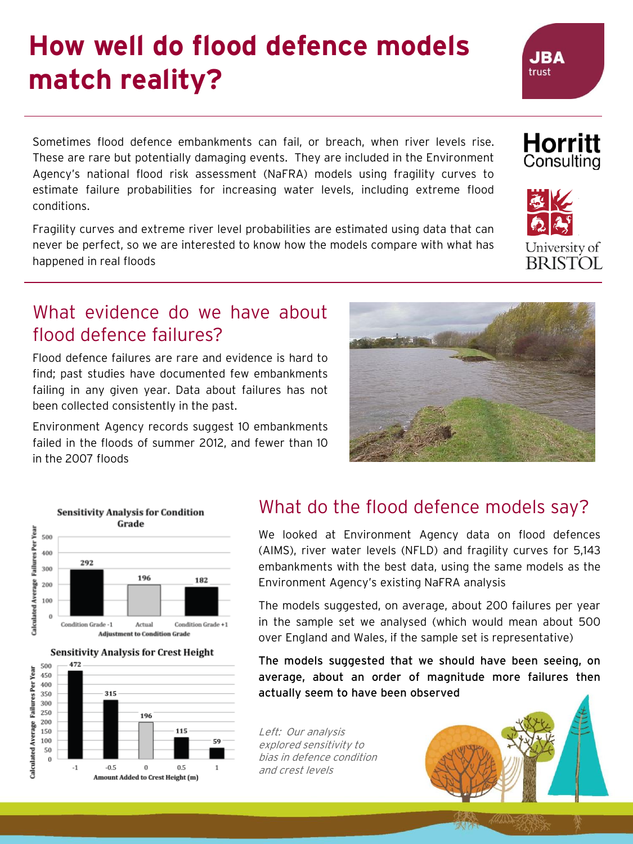## **How well do flood defence models match reality?**

Sometimes flood defence embankments can fail, or breach, when river levels rise. These are rare but potentially damaging events. They are included in the Environment Agency's national flood risk assessment (NaFRA) models using fragility curves to estimate failure probabilities for increasing water levels, including extreme flood conditions.

Fragility curves and extreme river level probabilities are estimated using data that can never be perfect, so we are interested to know how the models compare with what has happened in real floods

#### What evidence do we have about flood defence failures?

Flood defence failures are rare and evidence is hard to find; past studies have documented few embankments failing in any given year. Data about failures has not been collected consistently in the past.

Environment Agency records suggest 10 embankments failed in the floods of summer 2012, and fewer than 10 in the 2007 floods

115

 $0.5$ 

 $\mathbf{1}$ 



We looked at Environment Agency data on flood defences (AIMS), river water levels (NFLD) and fragility curves for 5,143 embankments with the best data, using the same models as the Environment Agency's existing NaFRA analysis

The models suggested, on average, about 200 failures per year in the sample set we analysed (which would mean about 500 over England and Wales, if the sample set is representative)

The models suggested that we should have been seeing, on average, about an order of magnitude more failures then actually seem to have been observed

Left: Our analysis explored sensitivity to bias in defence condition and crest levels





**Sensitivity Analysis for Condition** Grade

500

200

100 50  $\theta$ 

 $-1$ 

 $-0.5$ 

 $\bf{0}$ 

Amount Added to Crest Height (m)

Calculated Average 150





**JBA** trust